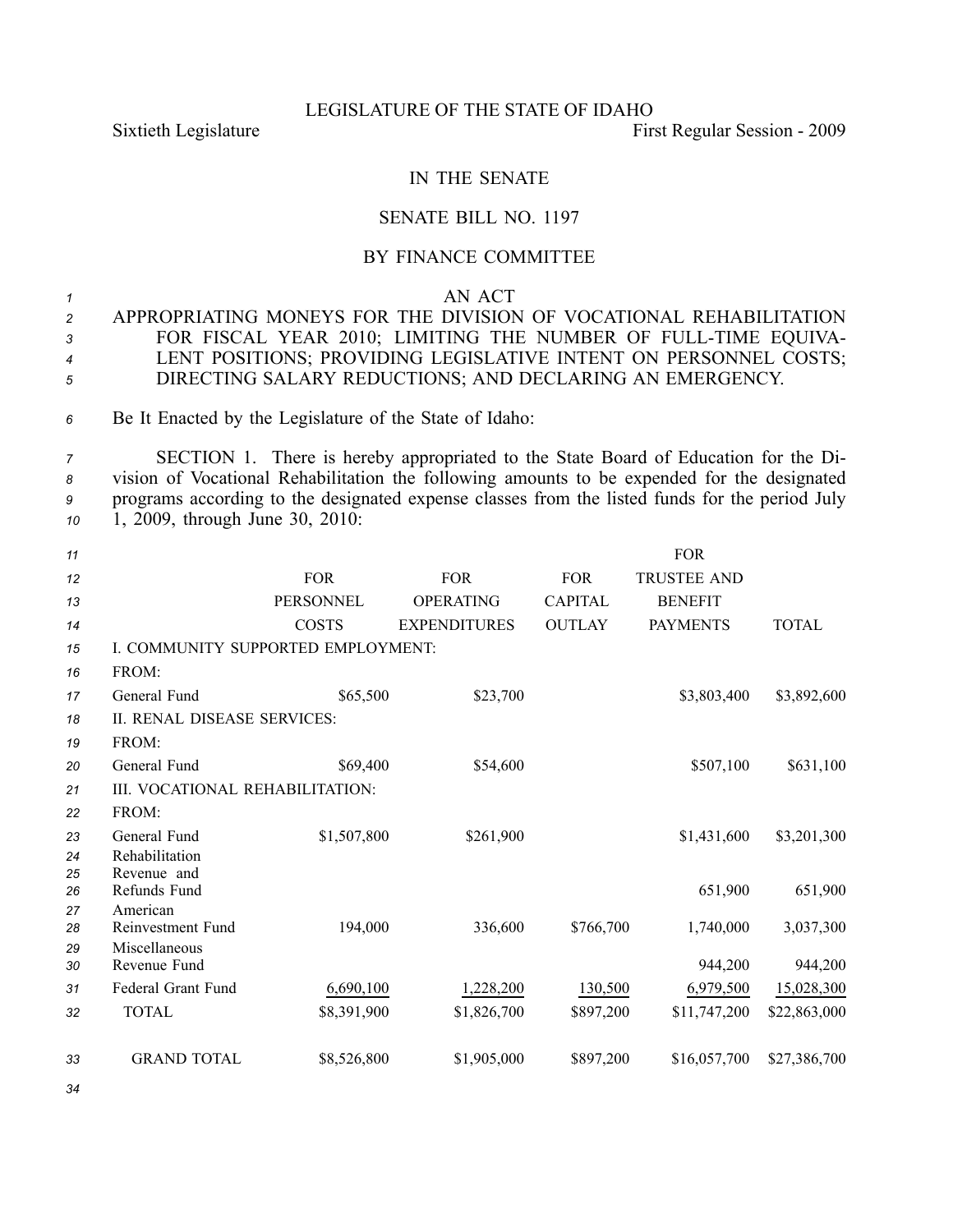#### LEGISLATURE OF THE STATE OF IDAHO

Sixtieth Legislature First Regular Session - 2009

# IN THE SENATE

## SENATE BILL NO. 1197

## BY FINANCE COMMITTEE

#### *<sup>1</sup>* AN ACT

- *<sup>2</sup>* APPROPRIATING MONEYS FOR THE DIVISION OF VOCATIONAL REHABILITATION *<sup>3</sup>* FOR FISCAL YEAR 2010; LIMITING THE NUMBER OF FULLTIME EQUIVA-*<sup>4</sup>* LENT POSITIONS; PROVIDING LEGISLATIVE INTENT ON PERSONNEL COSTS; *<sup>5</sup>* DIRECTING SALARY REDUCTIONS; AND DECLARING AN EMERGENCY.
- *<sup>6</sup>* Be It Enacted by the Legislature of the State of Idaho:

 SECTION 1. There is hereby appropriated to the State Board of Education for the Di- vision of Vocational Rehabilitation the following amounts to be expended for the designated programs according to the designated expense classes from the listed funds for the period July 1, 2009, through June 30, 2010:

| 11       |                                    |                  |                     |                | <b>FOR</b>         |              |
|----------|------------------------------------|------------------|---------------------|----------------|--------------------|--------------|
| 12       |                                    | <b>FOR</b>       | <b>FOR</b>          | <b>FOR</b>     | <b>TRUSTEE AND</b> |              |
| 13       |                                    | <b>PERSONNEL</b> | <b>OPERATING</b>    | <b>CAPITAL</b> | <b>BENEFIT</b>     |              |
| 14       |                                    | <b>COSTS</b>     | <b>EXPENDITURES</b> | <b>OUTLAY</b>  | <b>PAYMENTS</b>    | <b>TOTAL</b> |
| 15       | I. COMMUNITY SUPPORTED EMPLOYMENT: |                  |                     |                |                    |              |
| 16       | FROM:                              |                  |                     |                |                    |              |
| 17       | General Fund                       | \$65,500         | \$23,700            |                | \$3,803,400        | \$3,892,600  |
| 18       | II. RENAL DISEASE SERVICES:        |                  |                     |                |                    |              |
| 19       | FROM:                              |                  |                     |                |                    |              |
| 20       | General Fund                       | \$69,400         | \$54,600            |                | \$507,100          | \$631,100    |
| 21       | III. VOCATIONAL REHABILITATION:    |                  |                     |                |                    |              |
| 22       | FROM:                              |                  |                     |                |                    |              |
| 23       | General Fund                       | \$1,507,800      | \$261,900           |                | \$1,431,600        | \$3,201,300  |
| 24       | Rehabilitation                     |                  |                     |                |                    |              |
| 25<br>26 | Revenue and<br>Refunds Fund        |                  |                     |                | 651,900            | 651,900      |
| 27       | American                           |                  |                     |                |                    |              |
| 28       | Reinvestment Fund                  | 194,000          | 336,600             | \$766,700      | 1,740,000          | 3,037,300    |
| 29<br>30 | Miscellaneous<br>Revenue Fund      |                  |                     |                | 944,200            | 944,200      |
| 31       | Federal Grant Fund                 | 6,690,100        | 1,228,200           | 130,500        | 6,979,500          | 15,028,300   |
| 32       | <b>TOTAL</b>                       | \$8,391,900      | \$1,826,700         | \$897,200      | \$11,747,200       | \$22,863,000 |
|          |                                    |                  |                     |                |                    |              |
| 33       | <b>GRAND TOTAL</b>                 | \$8,526,800      | \$1,905,000         | \$897,200      | \$16,057,700       | \$27,386,700 |

*34*